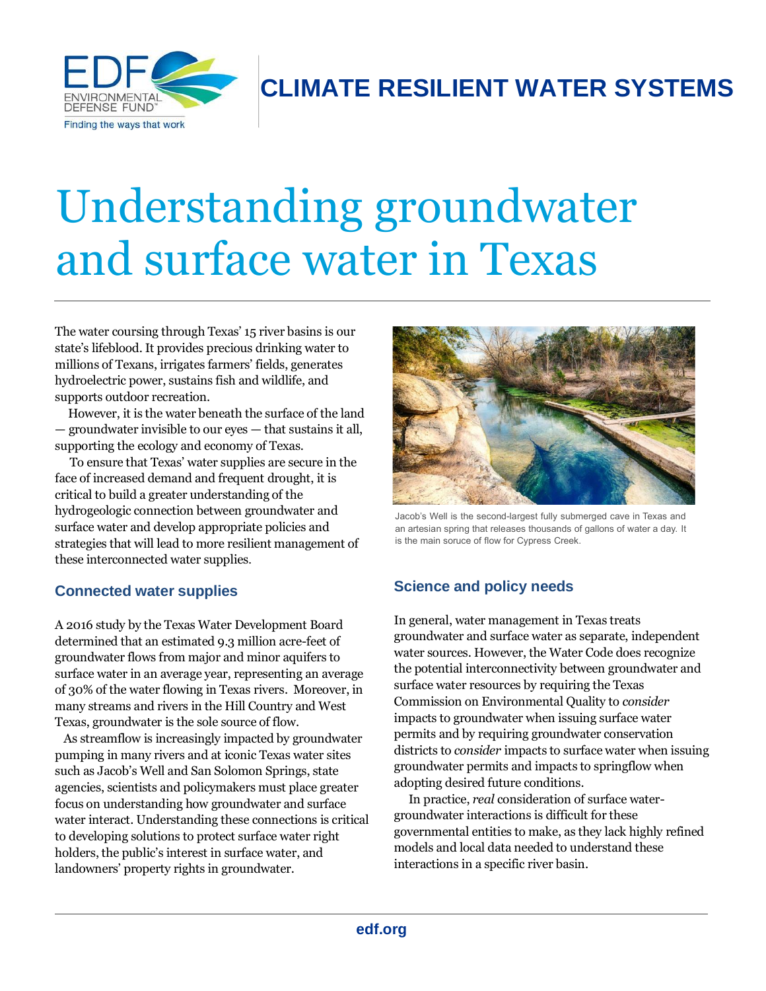

# **CLIMATE RESILIENT WATER SYSTEMS**

# Understanding groundwater and surface water in Texas

The water coursing through Texas' 15 river basins is our state's lifeblood. It provides precious drinking water to millions of Texans, irrigates farmers' fields, generates hydroelectric power, sustains fish and wildlife, and supports outdoor recreation.

 However, it is the water beneath the surface of the land — groundwater invisible to our eyes — that sustains it all, supporting the ecology and economy of Texas.

 To ensure that Texas' water supplies are secure in the face of increased demand and frequent drought, it is critical to build a greater understanding of the hydrogeologic connection between groundwater and surface water and develop appropriate policies and strategies that will lead to more resilient management of these interconnected water supplies.

### **Connected water supplies**

A 2016 study by the Texas Water Development Board determined that an estimated 9.3 million acre-feet of groundwater flows from major and minor aquifers to surface water in an average year, representing an average of 30% of the water flowing in Texas rivers. Moreover, in many streams and rivers in the Hill Country and West Texas, groundwater is the sole source of flow.

 As streamflow is increasingly impacted by groundwater pumping in many rivers and at iconic Texas water sites such as Jacob's Well and San Solomon Springs, state agencies, scientists and policymakers must place greater focus on understanding how groundwater and surface water interact. Understanding these connections is critical to developing solutions to protect surface water right holders, the public's interest in surface water, and landowners' property rights in groundwater.



Jacob's Well is the second-largest fully submerged cave in Texas and an artesian spring that releases thousands of gallons of water a day. It is the main soruce of flow for Cypress Creek.

## **Science and policy needs**

In general, water management in Texas treats groundwater and surface water as separate, independent water sources. However, the Water Code does recognize the potential interconnectivity between groundwater and surface water resources by requiring the Texas Commission on Environmental Quality to *consider*  impacts to groundwater when issuing surface water permits and by requiring groundwater conservation districts to *consider* impacts to surface water when issuing groundwater permits and impacts to springflow when adopting desired future conditions.

 In practice, *real* consideration of surface watergroundwater interactions is difficult for these governmental entities to make, as they lack highly refined models and local data needed to understand these interactions in a specific river basin.